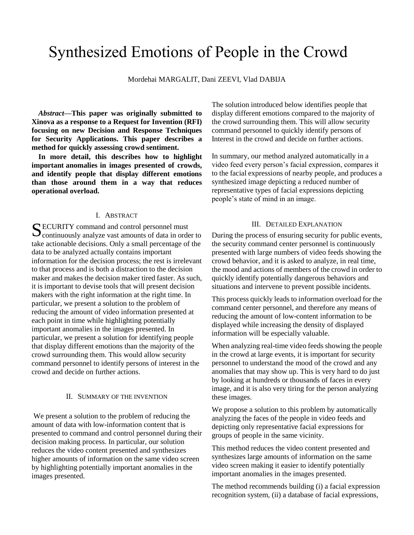# Synthesized Emotions of People in the Crowd

Mordehai MARGALIT, Dani ZEEVI, Vlad DABIJA

*Abstract***—This paper was originally submitted to Xinova as a response to a Request for Invention (RFI) focusing on new Decision and Response Techniques for Security Applications. This paper describes a method for quickly assessing crowd sentiment.**

**In more detail, this describes how to highlight important anomalies in images presented of crowds, and identify people that display different emotions than those around them in a way that reduces operational overload.**

### I. ABSTRACT

ECURITY command and control personnel must SECURITY command and control personnel must<br>continuously analyze vast amounts of data in order to take actionable decisions. Only a small percentage of the data to be analyzed actually contains important information for the decision process; the rest is irrelevant to that process and is both a distraction to the decision maker and makes the decision maker tired faster. As such, it is important to devise tools that will present decision makers with the right information at the right time. In particular, we present a solution to the problem of reducing the amount of video information presented at each point in time while highlighting potentially important anomalies in the images presented. In particular, we present a solution for identifying people that display different emotions than the majority of the crowd surrounding them. This would allow security command personnel to identify persons of interest in the crowd and decide on further actions.

#### II. SUMMARY OF THE INVENTION

We present a solution to the problem of reducing the amount of data with low-information content that is presented to command and control personnel during their decision making process. In particular, our solution reduces the video content presented and synthesizes higher amounts of information on the same video screen by highlighting potentially important anomalies in the images presented.

The solution introduced below identifies people that display different emotions compared to the majority of the crowd surrounding them. This will allow security command personnel to quickly identify persons of Interest in the crowd and decide on further actions.

In summary, our method analyzed automatically in a video feed every person's facial expression, compares it to the facial expressions of nearby people, and produces a synthesized image depicting a reduced number of representative types of facial expressions depicting people's state of mind in an image.

#### III. DETAILED EXPLANATION

During the process of ensuring security for public events, the security command center personnel is continuously presented with large numbers of video feeds showing the crowd behavior, and it is asked to analyze, in real time, the mood and actions of members of the crowd in order to quickly identify potentially dangerous behaviors and situations and intervene to prevent possible incidents.

This process quickly leads to information overload for the command center personnel, and therefore any means of reducing the amount of low-content information to be displayed while increasing the density of displayed information will be especially valuable.

When analyzing real-time video feeds showing the people in the crowd at large events, it is important for security personnel to understand the mood of the crowd and any anomalies that may show up. This is very hard to do just by looking at hundreds or thousands of faces in every image, and it is also very tiring for the person analyzing these images.

We propose a solution to this problem by automatically analyzing the faces of the people in video feeds and depicting only representative facial expressions for groups of people in the same vicinity.

This method reduces the video content presented and synthesizes large amounts of information on the same video screen making it easier to identify potentially important anomalies in the images presented.

The method recommends building (i) a facial expression recognition system, (ii) a database of facial expressions,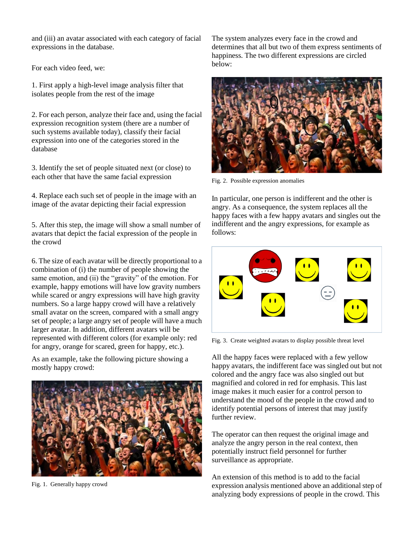and (iii) an avatar associated with each category of facial expressions in the database.

For each video feed, we:

1. First apply a high-level image analysis filter that isolates people from the rest of the image

2. For each person, analyze their face and, using the facial expression recognition system (there are a number of such systems available today), classify their facial expression into one of the categories stored in the database

3. Identify the set of people situated next (or close) to each other that have the same facial expression

4. Replace each such set of people in the image with an image of the avatar depicting their facial expression

5. After this step, the image will show a small number of avatars that depict the facial expression of the people in the crowd

6. The size of each avatar will be directly proportional to a combination of (i) the number of people showing the same emotion, and (ii) the "gravity" of the emotion. For example, happy emotions will have low gravity numbers while scared or angry expressions will have high gravity numbers. So a large happy crowd will have a relatively small avatar on the screen, compared with a small angry set of people; a large angry set of people will have a much larger avatar. In addition, different avatars will be represented with different colors (for example only: red for angry, orange for scared, green for happy, etc.).

As an example, take the following picture showing a mostly happy crowd:



Fig. 1. Generally happy crowd

The system analyzes every face in the crowd and determines that all but two of them express sentiments of happiness. The two different expressions are circled below:



Fig. 2. Possible expression anomalies

In particular, one person is indifferent and the other is angry. As a consequence, the system replaces all the happy faces with a few happy avatars and singles out the indifferent and the angry expressions, for example as follows:



Fig. 3. Create weighted avatars to display possible threat level

All the happy faces were replaced with a few yellow happy avatars, the indifferent face was singled out but not colored and the angry face was also singled out but magnified and colored in red for emphasis. This last image makes it much easier for a control person to understand the mood of the people in the crowd and to identify potential persons of interest that may justify further review.

The operator can then request the original image and analyze the angry person in the real context, then potentially instruct field personnel for further surveillance as appropriate.

An extension of this method is to add to the facial expression analysis mentioned above an additional step of analyzing body expressions of people in the crowd. This